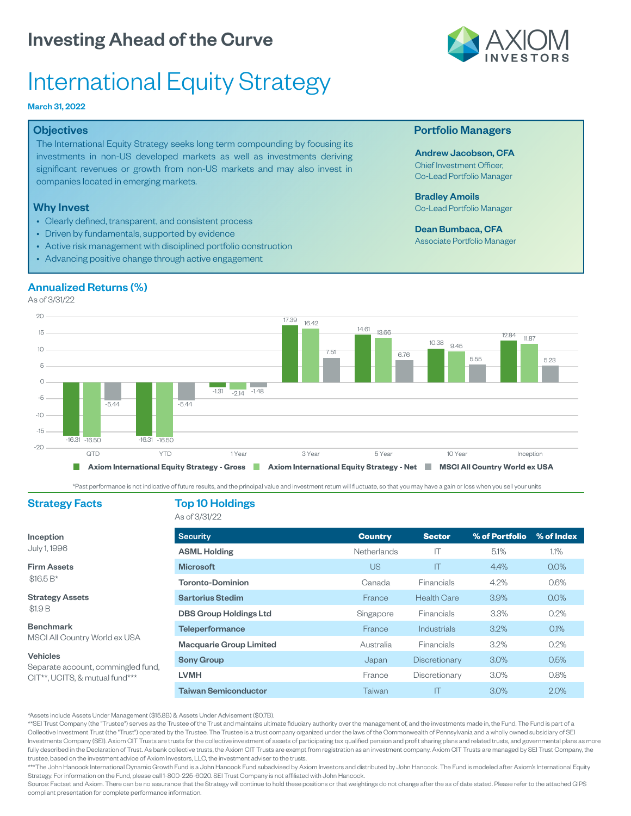# International Equity Strategy

### March 31, 2022

### **Objectives**

The International Equity Strategy seeks long term compounding by focusing its investments in non-US developed markets as well as investments deriving significant revenues or growth from non-US markets and may also invest in companies located in emerging markets.

### Why Invest

- Clearly defined, transparent, and consistent process
- Driven by fundamentals, supported by evidence
- Active risk management with disciplined portfolio construction
- Advancing positive change through active engagement

### Annualized Returns (%)

As of 3/31/22



Past performance is not indicative of future results, and the principal value and investment return will fluctuate, so that you may have a gain or loss when you sell your units

### Strategy Facts Top 10 Holdings

Strategy Assets

MSCI All Country World ex USA

Separate account, commingled fund, CIT<sup>\*\*</sup>, UCITS, & mutual fund<sup>\*\*\*</sup>

Inception July 1, 1996 Firm Assets  $$16.5 B*$ 

\$1.9 B Benchmark

Vehicles

As of 3/31/22

| <b>Security</b>                | <b>Country</b>     | <b>Sector</b>     | % of Portfolio | % of Index |
|--------------------------------|--------------------|-------------------|----------------|------------|
| <b>ASML Holding</b>            | <b>Netherlands</b> | IΤ                | 5.1%           | 1.1%       |
| <b>Microsoft</b>               | US                 | IT                | 4.4%           | $0.0\%$    |
| <b>Toronto-Dominion</b>        | Canada             | <b>Financials</b> | 4.2%           | 0.6%       |
| <b>Sartorius Stedim</b>        | France             | Health Care       | 3.9%           | $0.0\%$    |
| <b>DBS Group Holdings Ltd</b>  | Singapore          | Financials        | 3.3%           | $0.2\%$    |
| <b>Teleperformance</b>         | France             | Industrials       | 3.2%           | $0.1\%$    |
| <b>Macquarie Group Limited</b> | Australia          | <b>Financials</b> | 3.2%           | 0.2%       |
| <b>Sony Group</b>              | Japan              | Discretionary     | 3.0%           | 0.5%       |
| <b>LVMH</b>                    | France             | Discretionary     | $3.0\%$        | 0.8%       |
| <b>Taiwan Semiconductor</b>    | Taiwan             | IT                | 3.0%           | 2.0%       |

Assets include Assets Under Management (\$15.8B) & Assets Under Advisement (\$0.7B).

\*\*SEI Trust Company (the "Trustee") serves as the Trustee of the Trust and maintains ultimate fiduciary authority over the management of, and the investments made in, the Fund. The Fund is part of a Collective Investment Trust (the Trust) operated by the Trustee. The Trustee is a trust company organized under the laws of the Commonwealth of Pennsylvania and a wholly owned subsidiary of SEI Investments Company (SEI). Axiom CIT Trusts are trusts for the collective investment of assets of participating tax qualified pension and profit sharing plans and related trusts, and governmental plans as more fully described in the Declaration of Trust. As bank collective trusts, the Axiom CIT Trusts are exempt from registration as an investment company. Axiom CIT Trusts are managed by SEI Trust Company, the trustee, based on the investment advice of Axiom Investors, LLC, the investment adviser to the trusts.

\*\*\*The John Hancock International Dynamic Growth Fund is a John Hancock Fund subadvised by Axiom Investors and distributed by John Hancock. The Fund is modeled after Axiom's International Equity Strategy. For information on the Fund, please call 1-800-225-6020. SEI Trust Company is not affiliated with John Hancock

Source: Factset and Axiom. There can be no assurance that the Strategy will continue to hold these positions or that weightings do not change after the as of date stated. Please refer to the attached GIPS compliant presentation for complete performance information.



### Portfolio Managers

Andrew Jacobson, CFA Chief Investment Officer, Co-Lead Portfolio Manager

Bradley Amoils Co-Lead Portfolio Manager

Dean Bumbaca, CFA Associate Portfolio Manager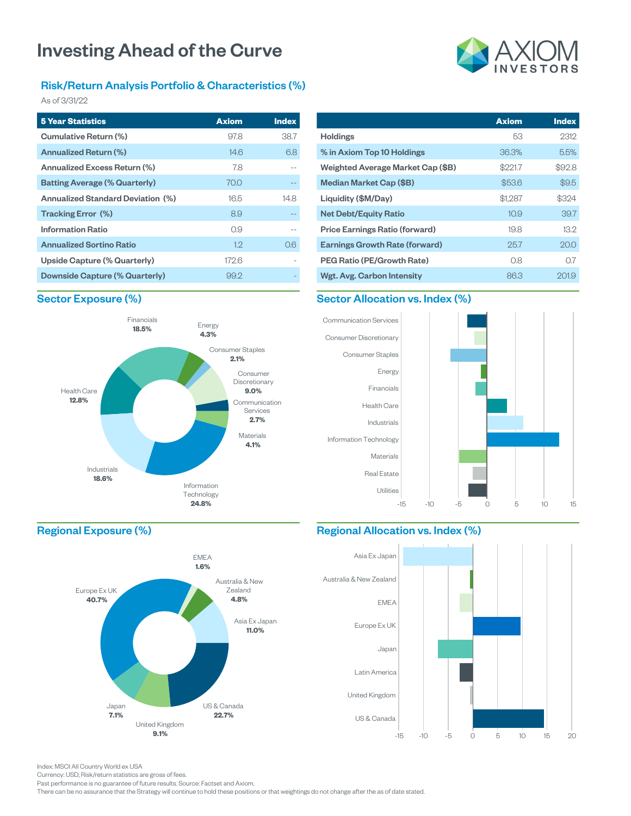### Risk/Return Analysis Portfolio & Characteristics (%)

As of 3/31/22

| <b>5 Year Statistics</b>             | <b>Axiom</b> | <b>Index</b> |
|--------------------------------------|--------------|--------------|
| Cumulative Return (%)                | 97.8         | 38.7         |
| Annualized Return (%)                | 14.6         | 6.8          |
| Annualized Excess Return (%)         | 78           |              |
| <b>Batting Average (% Quarterly)</b> | 70.0         |              |
| Annualized Standard Deviation (%)    | 16.5         | 14.8         |
| Tracking Error (%)                   | 8.9          |              |
| <b>Information Ratio</b>             | 0.9          |              |
| <b>Annualized Sortino Ratio</b>      | 12           | 0.6          |
| Upside Capture (% Quarterly)         | 172.6        |              |
| Downside Capture (% Quarterly)       | 99.2         |              |

|                                       | <b>Axiom</b>      | <b>Index</b> |
|---------------------------------------|-------------------|--------------|
| <b>Holdings</b>                       | 53                | 2312         |
| % in Axiom Top 10 Holdings            | 36.3%             | 5.5%         |
| Weighted Average Market Cap (\$B)     | \$221.7           | \$92.8       |
| Median Market Cap (\$B)               | \$53.6            | \$9.5        |
| Liquidity (\$M/Day)                   | \$1,287           | \$324        |
| <b>Net Debt/Equity Ratio</b>          | 10.9 <sup>°</sup> | 39.7         |
| <b>Price Earnings Ratio (forward)</b> | 19.8              | 13.2         |
| <b>Earnings Growth Rate (forward)</b> | 25.7              | 20.0         |
| <b>PEG Ratio (PE/Growth Rate)</b>     | 0.8               | 0.7          |
| Wgt. Avg. Carbon Intensity            | 86.3              | 201.9        |

### Sector Exposure (%)



### Sector Allocation vs. Index (%)



### Regional Exposure (%)



### Regional Allocation vs. Index (%)



Index: MSCI All Country World ex USA

Currency: USD, Risk/return statistics are gross of fees.

Past performance is no guarantee of future results. Source: Factset and Axiom.

There can be no assurance that the Strategy will continue to hold these positions or that weightings do not change after the as of date stated.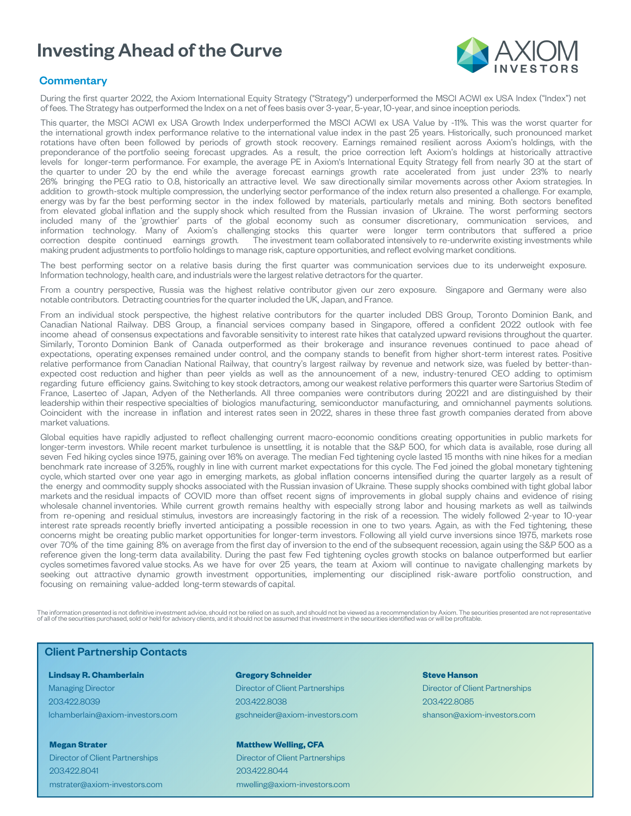

### **Commentary**

During the first quarter 2022, the Axiom International Equity Strategy ("Strategy") underperformed the MSCI ACWI ex USA Index ("Index") net of fees. The Strategy has outperformed the Index on a net of fees basis over 3-year, 5-year, 10-year, and since inception periods.

This quarter, the MSCI ACWI ex USA Growth Index underperformed the MSCI ACWI ex USA Value by -11%. This was the worst quarter for the international growth index performance relative to the international value index in the past 25 years. Historically, such pronounced market rotations have often been followed by periods of growth stock recovery. Earnings remained resilient across Axiom's holdings, with the preponderance of the portfolio seeing forecast upgrades. As a result, the price correction left Axiom's holdings at historically attractive levels for longer-term performance. For example, the average PE in Axiom's International Equity Strategy fell from nearly 30 at the start of the quarter to under 20 by the end while the average forecast earnings growth rate accelerated from just under 23% to nearly 26% bringing the PEG ratio to 0.8, historically an attractive level. We saw directionally similar movements across other Axiom strategies. In addition to growth-stock multiple compression, the underlying sector performance of the index return also presented a challenge. For example, energy was by far the best performing sector in the index followed by materials, particularly metals and mining. Both sectors benefited from elevated global inflation and the supply shock which resulted from the Russian invasion of Ukraine. The worst performing sectors included many of the 'growthier' parts of the global economy such as consumer discretionary, communication services, and information technology. Many of Axiom's challenging stocks this quarter were longer term contributors that suffered a price correction despite continued earnings growth. The investment team collaborated intensively to re-underwrite existing investments while making prudent adjustments to portfolio holdings to manage risk, capture opportunities, and reflect evolving market conditions.

The best performing sector on a relative basis during the first quarter was communication services due to its underweight exposure. Information technology, health care, and industrials were the largest relative detractors for the quarter.

From a country perspective, Russia was the highest relative contributor given our zero exposure. Singapore and Germany were also notable contributors. Detracting countries for the quarter included the UK, Japan, and France.

From an individual stock perspective, the highest relative contributors for the quarter included DBS Group, Toronto Dominion Bank, and Canadian National Railway. DBS Group, a financial services company based in Singapore, offered a confident 2022 outlook with fee income ahead of consensus expectations and favorable sensitivity to interest rate hikes that catalyzed upward revisions throughout the quarter. Similarly, Toronto Dominion Bank of Canada outperformed as their brokerage and insurance revenues continued to pace ahead of expectations, operating expenses remained under control, and the company stands to benefit from higher short-term interest rates. Positive relative performance from Canadian National Railway, that country's largest railway by revenue and network size, was fueled by better-thanexpected cost reduction and higher than peer yields as well as the announcement of a new, industry-tenured CEO adding to optimism regarding future efficiency gains. Switching to key stock detractors, among our weakest relative performers this quarter were Sartorius Stedim of France, Lasertec of Japan, Adyen of the Netherlands. All three companies were contributors during 20221 and are distinguished by their leadership within their respective specialties of biologics manufacturing, semiconductor manufacturing, and omnichannel payments solutions. Coincident with the increase in inflation and interest rates seen in 2022, shares in these three fast growth companies derated from above market valuations.

Global equities have rapidly adjusted to reflect challenging current macro-economic conditions creating opportunities in public markets for longer-term investors. While recent market turbulence is unsettling, it is notable that the S&P 500, for which data is available, rose during all seven Fed hiking cycles since 1975, gaining over 16% on average. The median Fed tightening cycle lasted 15 months with nine hikes for a median benchmark rate increase of 3.25%, roughly in line with current market expectations for this cycle. The Fed joined the global monetary tightening cycle, which started over one year ago in emerging markets, as global inflation concerns intensified during the quarter largely as a result of the energy and commodity supply shocks associated with the Russian invasion of Ukraine. These supply shocks combined with tight global labor markets and the residual impacts of COVID more than offset recent signs of improvements in global supply chains and evidence of rising wholesale channel inventories. While current growth remains healthy with especially strong labor and housing markets as well as tailwinds from re-opening and residual stimulus, investors are increasingly factoring in the risk of a recession. The widely followed 2-year to 10-year interest rate spreads recently briefly inverted anticipating a possible recession in one to two years. Again, as with the Fed tightening, these concerns might be creating public market opportunities for longer-term investors. Following all yield curve inversions since 1975, markets rose over 70% of the time gaining 8% on average from the first day of inversion to the end of the subsequent recession, again using the S&P 500 as a reference given the long-term data availability. During the past few Fed tightening cycles growth stocks on balance outperformed but earlier cycles sometimes favored value stocks. As we have for over 25 years, the team at Axiom will continue to navigate challenging markets by seeking out attractive dynamic growth investment opportunities, implementing our disciplined risk-aware portfolio construction, and focusing on remaining value-added long-term stewards of capital.

The information presented is not definitive investment advice, should not be relied on as such, and should not be viewed as a recommendation by Axiom. The securities presented are not representative of all of the securities purchased, sold or held for advisory clients, and it should not be assumed that investment in the securities identified was or will be profitable.

### Client Partnership Contacts

#### **Lindsay R. Chamberlain**

Managing Director 203.422.8039 lchamberlain@axiom-investors.com

**Megan Strater** Director of Client Partnerships 203.422.8041 mstrater@axiom-investors.com

### **Gregory Schneider** Director of Client Partnerships 203.422.8038 gschneider@axiom-investors.com

#### **Matthew Welling, CFA**

Director of Client Partnerships 203.422.8044 mwelling@axiom-investors.com

### **Steve Hanson**

Director of Client Partnerships 203.422.8085 shanson@axiom-investors.com